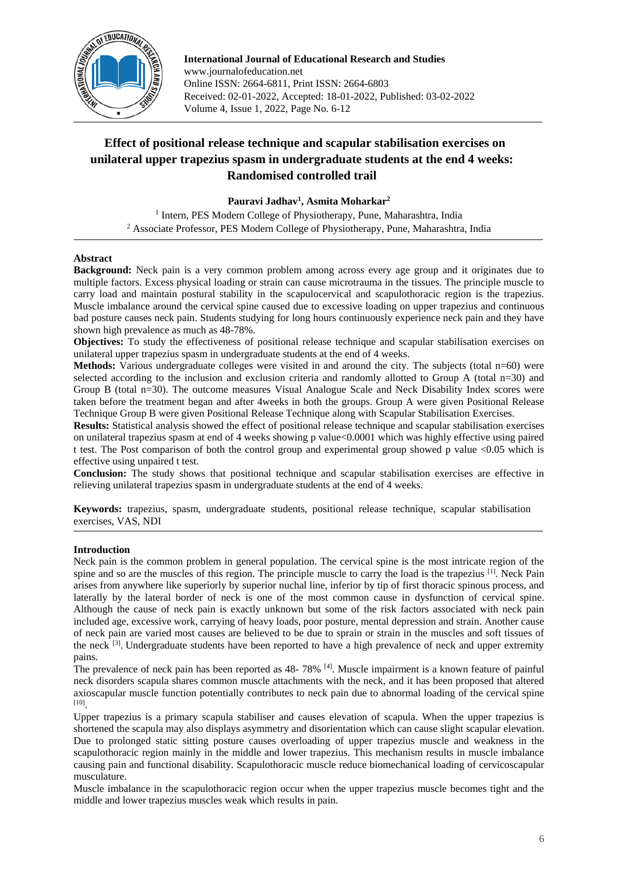

**International Journal of Educational Research and Studies** www.journalofeducation.net Online ISSN: 2664-6811, Print ISSN: 2664-6803 Received: 02-01-2022, Accepted: 18-01-2022, Published: 03-02-2022 Volume 4, Issue 1, 2022, Page No. 6-12

# **Effect of positional release technique and scapular stabilisation exercises on unilateral upper trapezius spasm in undergraduate students at the end 4 weeks: Randomised controlled trail**

**Pauravi Jadhav<sup>1</sup> , Asmita Moharkar<sup>2</sup>**

<sup>1</sup> Intern, PES Modern College of Physiotherapy, Pune, Maharashtra, India <sup>2</sup> Associate Professor, PES Modern College of Physiotherapy, Pune, Maharashtra, India

## **Abstract**

**Background:** Neck pain is a very common problem among across every age group and it originates due to multiple factors. Excess physical loading or strain can cause microtrauma in the tissues. The principle muscle to carry load and maintain postural stability in the scapulocervical and scapulothoracic region is the trapezius. Muscle imbalance around the cervical spine caused due to excessive loading on upper trapezius and continuous bad posture causes neck pain. Students studying for long hours continuously experience neck pain and they have shown high prevalence as much as 48-78%.

**Objectives:** To study the effectiveness of positional release technique and scapular stabilisation exercises on unilateral upper trapezius spasm in undergraduate students at the end of 4 weeks.

**Methods:** Various undergraduate colleges were visited in and around the city. The subjects (total  $n=60$ ) were selected according to the inclusion and exclusion criteria and randomly allotted to Group A (total n=30) and Group B (total n=30). The outcome measures Visual Analogue Scale and Neck Disability Index scores were taken before the treatment began and after 4weeks in both the groups. Group A were given Positional Release Technique Group B were given Positional Release Technique along with Scapular Stabilisation Exercises.

**Results:** Statistical analysis showed the effect of positional release technique and scapular stabilisation exercises on unilateral trapezius spasm at end of 4 weeks showing p value<0.0001 which was highly effective using paired t test. The Post comparison of both the control group and experimental group showed p value <0.05 which is effective using unpaired t test.

**Conclusion:** The study shows that positional technique and scapular stabilisation exercises are effective in relieving unilateral trapezius spasm in undergraduate students at the end of 4 weeks.

**Keywords:** trapezius, spasm, undergraduate students, positional release technique, scapular stabilisation exercises, VAS, NDI

## **Introduction**

Neck pain is the common problem in general population. The cervical spine is the most intricate region of the spine and so are the muscles of this region. The principle muscle to carry the load is the trapezius [1]. Neck Pain arises from anywhere like superiorly by superior nuchal line, inferior by tip of first thoracic spinous process, and laterally by the lateral border of neck is one of the most common cause in dysfunction of cervical spine. Although the cause of neck pain is exactly unknown but some of the risk factors associated with neck pain included age, excessive work, carrying of heavy loads, poor posture, mental depression and strain. Another cause of neck pain are varied most causes are believed to be due to sprain or strain in the muscles and soft tissues of the neck <sup>[3]</sup>. Undergraduate students have been reported to have a high prevalence of neck and upper extremity pains.

The prevalence of neck pain has been reported as 48-78% <sup>[4]</sup>. Muscle impairment is a known feature of painful neck disorders scapula shares common muscle attachments with the neck, and it has been proposed that altered axioscapular muscle function potentially contributes to neck pain due to abnormal loading of the cervical spine [10] .

Upper trapezius is a primary scapula stabiliser and causes elevation of scapula. When the upper trapezius is shortened the scapula may also displays asymmetry and disorientation which can cause slight scapular elevation. Due to prolonged static sitting posture causes overloading of upper trapezius muscle and weakness in the scapulothoracic region mainly in the middle and lower trapezius. This mechanism results in muscle imbalance causing pain and functional disability. Scapulothoracic muscle reduce biomechanical loading of cervicoscapular musculature.

Muscle imbalance in the scapulothoracic region occur when the upper trapezius muscle becomes tight and the middle and lower trapezius muscles weak which results in pain.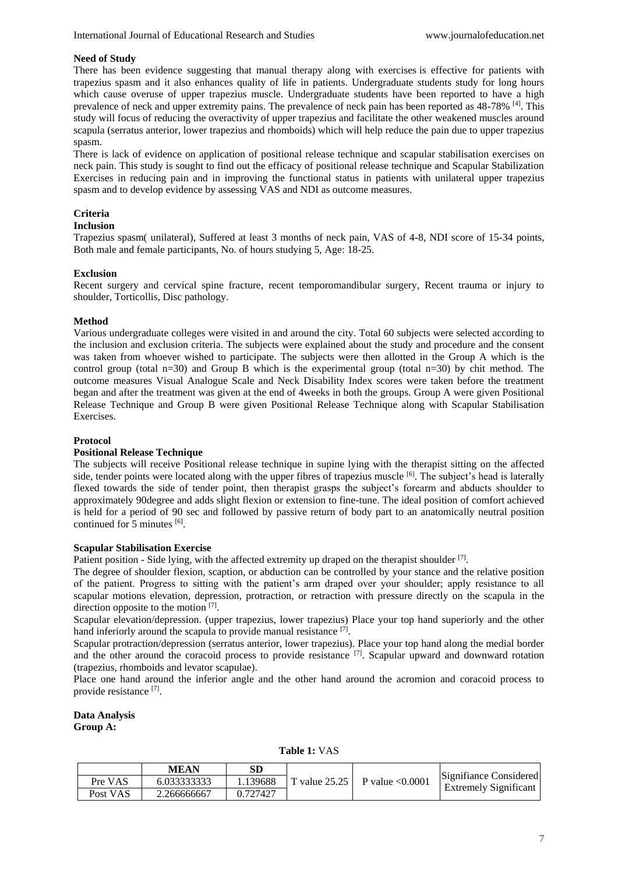#### **Need of Study**

There has been evidence suggesting that manual therapy along with exercises is effective for patients with trapezius spasm and it also enhances quality of life in patients. Undergraduate students study for long hours which cause overuse of upper trapezius muscle. Undergraduate students have been reported to have a high prevalence of neck and upper extremity pains. The prevalence of neck pain has been reported as 48-78% <sup>[4]</sup>. This study will focus of reducing the overactivity of upper trapezius and facilitate the other weakened muscles around scapula (serratus anterior, lower trapezius and rhomboids) which will help reduce the pain due to upper trapezius spasm.

There is lack of evidence on application of positional release technique and scapular stabilisation exercises on neck pain. This study is sought to find out the efficacy of positional release technique and Scapular Stabilization Exercises in reducing pain and in improving the functional status in patients with unilateral upper trapezius spasm and to develop evidence by assessing VAS and NDI as outcome measures.

## **Criteria**

## **Inclusion**

Trapezius spasm( unilateral), Suffered at least 3 months of neck pain, VAS of 4-8, NDI score of 15-34 points, Both male and female participants, No. of hours studying 5, Age: 18-25.

#### **Exclusion**

Recent surgery and cervical spine fracture, recent temporomandibular surgery, Recent trauma or injury to shoulder, Torticollis, Disc pathology.

#### **Method**

Various undergraduate colleges were visited in and around the city. Total 60 subjects were selected according to the inclusion and exclusion criteria. The subjects were explained about the study and procedure and the consent was taken from whoever wished to participate. The subjects were then allotted in the Group A which is the control group (total n=30) and Group B which is the experimental group (total n=30) by chit method. The outcome measures Visual Analogue Scale and Neck Disability Index scores were taken before the treatment began and after the treatment was given at the end of 4weeks in both the groups. Group A were given Positional Release Technique and Group B were given Positional Release Technique along with Scapular Stabilisation Exercises.

#### **Protocol**

## **Positional Release Technique**

The subjects will receive Positional release technique in supine lying with the therapist sitting on the affected side, tender points were located along with the upper fibres of trapezius muscle <sup>[6]</sup>. The subject's head is laterally flexed towards the side of tender point, then therapist grasps the subject's forearm and abducts shoulder to approximately 90degree and adds slight flexion or extension to fine-tune. The ideal position of comfort achieved is held for a period of 90 sec and followed by passive return of body part to an anatomically neutral position continued for 5 minutes [6].

#### **Scapular Stabilisation Exercise**

Patient position - Side lying, with the affected extremity up draped on the therapist shoulder  $[7]$ .

The degree of shoulder flexion, scaption, or abduction can be controlled by your stance and the relative position of the patient. Progress to sitting with the patient's arm draped over your shoulder; apply resistance to all scapular motions elevation, depression, protraction, or retraction with pressure directly on the scapula in the direction opposite to the motion [7].

Scapular elevation/depression. (upper trapezius, lower trapezius) Place your top hand superiorly and the other hand inferiorly around the scapula to provide manual resistance [7].

Scapular protraction/depression (serratus anterior, lower trapezius). Place your top hand along the medial border and the other around the coracoid process to provide resistance <sup>[7]</sup>. Scapular upward and downward rotation (trapezius, rhomboids and levator scapulae).

Place one hand around the inferior angle and the other hand around the acromion and coracoid process to provide resistance [7].

**Data Analysis Group A:** 

**Table 1:** VAS

|          | <b>MEAN</b> | SD       |                                       |                                                        |
|----------|-------------|----------|---------------------------------------|--------------------------------------------------------|
| Pre VAS  | 6.033333333 | 1.139688 | T value $25.25$ P value $\leq 0.0001$ | Signifiance Considered<br><b>Extremely Significant</b> |
| Post VAS | 2.266666667 | 0.727427 |                                       |                                                        |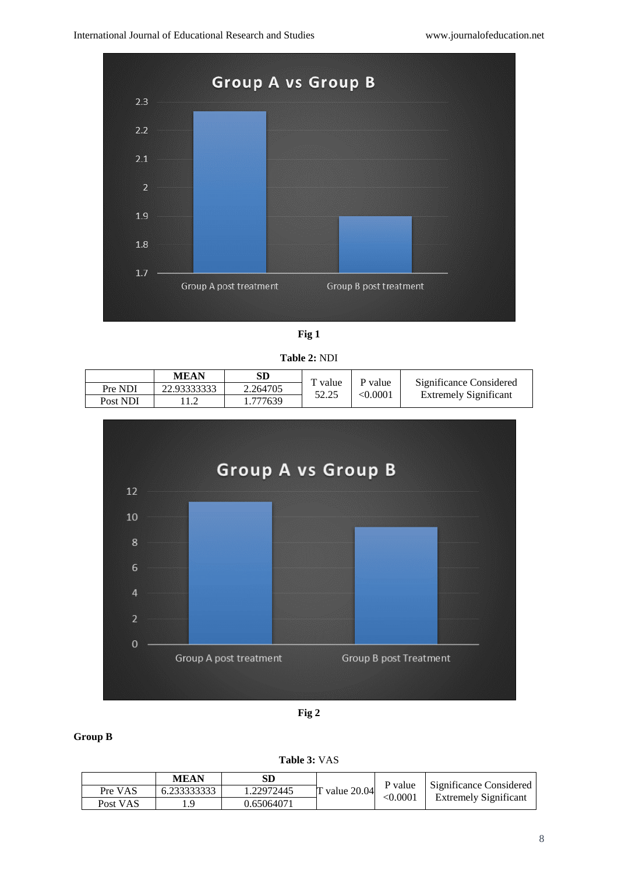

**Fig 1**

**Table 2:** NDI

|          | MEAN        | SD       | $\mathbf{r}$ value | P value       | Significance Considered      |
|----------|-------------|----------|--------------------|---------------|------------------------------|
| Pre NDI  | 22.93333333 | 2.264705 | 52.25              | $<\!\!0.0001$ | <b>Extremely Significant</b> |
| Post NDI |             | . 777639 |                    |               |                              |



**Fig 2**

# **Group B**

**Table 3:** VAS

|          | <b>MEAN</b> | SD         | $\tau$ value 20.04 | P value<br>< 0.0001 | Significance Considered<br><b>Extremely Significant</b> |
|----------|-------------|------------|--------------------|---------------------|---------------------------------------------------------|
| Pre VAS  | 6.233333333 | 1.22972445 |                    |                     |                                                         |
| Post VAS | $\mathbf Q$ | 0.65064071 |                    |                     |                                                         |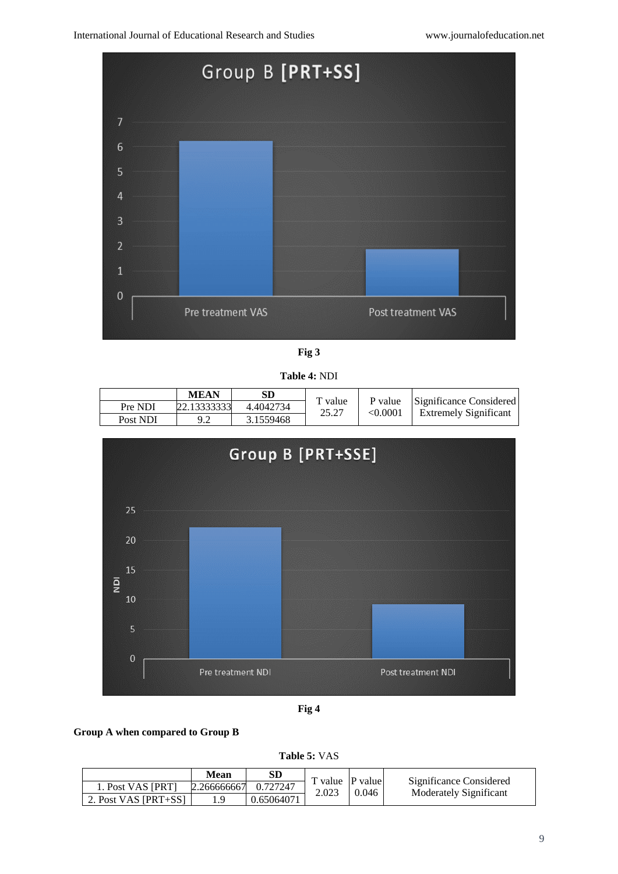

**Fig 3**

**Table 4:** NDI

|          | <b>MEAN</b> |           | T value | P value  |                                                         |
|----------|-------------|-----------|---------|----------|---------------------------------------------------------|
| Pre NDI  | 22.13333333 | 4.4042734 | 25.27   | < 0.0001 | Significance Considered<br><b>Extremely Significant</b> |
| Post NDI | 9.2         | 3.1559468 |         |          |                                                         |

![](_page_3_Figure_6.jpeg)

**Fig 4**

## **Group A when compared to Group B**

**Table 5:** VAS

|                      | Mean        |            | T value P value |       |                                                   |
|----------------------|-------------|------------|-----------------|-------|---------------------------------------------------|
| 1. Post VAS [PRT]    | 2.266666667 | 0.727247   |                 | 0.046 | Significance Considered<br>Moderately Significant |
| 2. Post VAS [PRT+SS] |             | 0.65064071 | 2.023           |       |                                                   |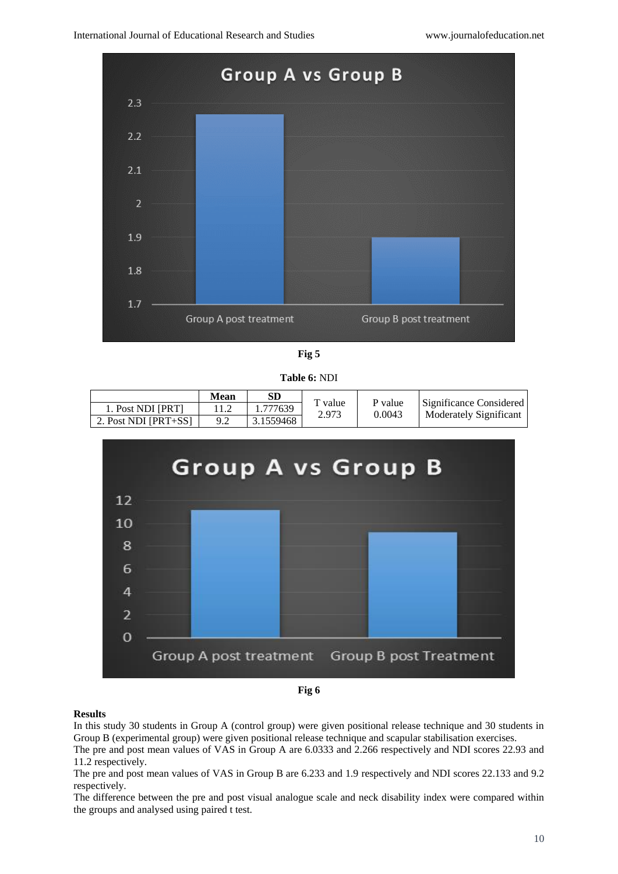![](_page_4_Figure_2.jpeg)

**Fig 5**

**Table 6:** NDI

|                      | Mean | SD        | T value<br>2.973 | P value<br>0.0043 | Significance Considered<br>Moderately Significant |
|----------------------|------|-----------|------------------|-------------------|---------------------------------------------------|
| 1. Post NDI [PRT]    |      | 1.777639  |                  |                   |                                                   |
| 2. Post NDI [PRT+SS] |      | 3.1559468 |                  |                   |                                                   |

![](_page_4_Figure_6.jpeg)

![](_page_4_Figure_7.jpeg)

## **Results**

In this study 30 students in Group A (control group) were given positional release technique and 30 students in Group B (experimental group) were given positional release technique and scapular stabilisation exercises.

The pre and post mean values of VAS in Group A are 6.0333 and 2.266 respectively and NDI scores 22.93 and 11.2 respectively.

The pre and post mean values of VAS in Group B are 6.233 and 1.9 respectively and NDI scores 22.133 and 9.2 respectively.

The difference between the pre and post visual analogue scale and neck disability index were compared within the groups and analysed using paired t test.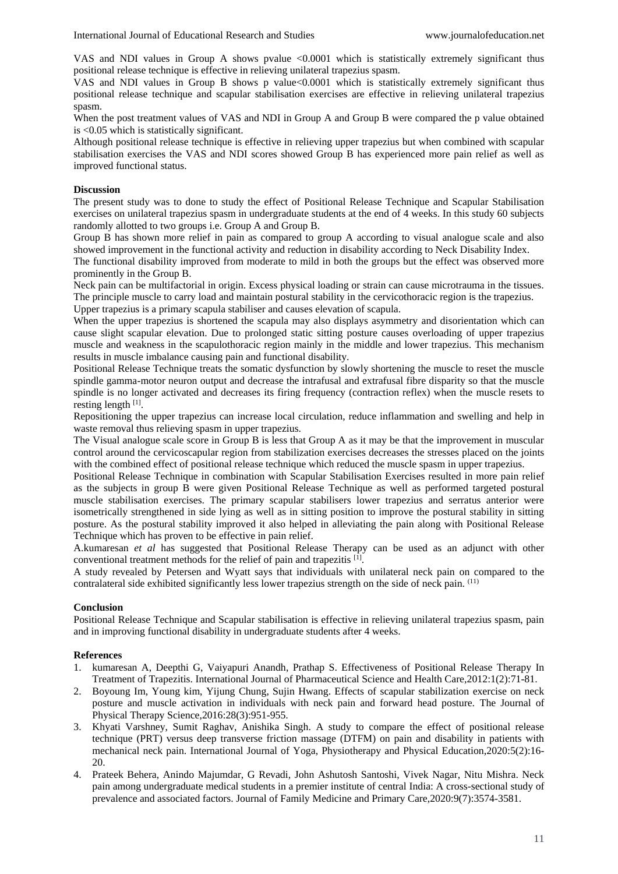VAS and NDI values in Group A shows pvalue <0.0001 which is statistically extremely significant thus positional release technique is effective in relieving unilateral trapezius spasm.

VAS and NDI values in Group B shows p value<0.0001 which is statistically extremely significant thus positional release technique and scapular stabilisation exercises are effective in relieving unilateral trapezius spasm.

When the post treatment values of VAS and NDI in Group A and Group B were compared the p value obtained is <0.05 which is statistically significant.

Although positional release technique is effective in relieving upper trapezius but when combined with scapular stabilisation exercises the VAS and NDI scores showed Group B has experienced more pain relief as well as improved functional status.

### **Discussion**

The present study was to done to study the effect of Positional Release Technique and Scapular Stabilisation exercises on unilateral trapezius spasm in undergraduate students at the end of 4 weeks. In this study 60 subjects randomly allotted to two groups i.e. Group A and Group B.

Group B has shown more relief in pain as compared to group A according to visual analogue scale and also showed improvement in the functional activity and reduction in disability according to Neck Disability Index.

The functional disability improved from moderate to mild in both the groups but the effect was observed more prominently in the Group B.

Neck pain can be multifactorial in origin. Excess physical loading or strain can cause microtrauma in the tissues. The principle muscle to carry load and maintain postural stability in the cervicothoracic region is the trapezius. Upper trapezius is a primary scapula stabiliser and causes elevation of scapula.

When the upper trapezius is shortened the scapula may also displays asymmetry and disorientation which can cause slight scapular elevation. Due to prolonged static sitting posture causes overloading of upper trapezius muscle and weakness in the scapulothoracic region mainly in the middle and lower trapezius. This mechanism results in muscle imbalance causing pain and functional disability.

Positional Release Technique treats the somatic dysfunction by slowly shortening the muscle to reset the muscle spindle gamma-motor neuron output and decrease the intrafusal and extrafusal fibre disparity so that the muscle spindle is no longer activated and decreases its firing frequency (contraction reflex) when the muscle resets to resting length [1].

Repositioning the upper trapezius can increase local circulation, reduce inflammation and swelling and help in waste removal thus relieving spasm in upper trapezius.

The Visual analogue scale score in Group B is less that Group A as it may be that the improvement in muscular control around the cervicoscapular region from stabilization exercises decreases the stresses placed on the joints with the combined effect of positional release technique which reduced the muscle spasm in upper trapezius.

Positional Release Technique in combination with Scapular Stabilisation Exercises resulted in more pain relief as the subjects in group B were given Positional Release Technique as well as performed targeted postural muscle stabilisation exercises. The primary scapular stabilisers lower trapezius and serratus anterior were isometrically strengthened in side lying as well as in sitting position to improve the postural stability in sitting posture. As the postural stability improved it also helped in alleviating the pain along with Positional Release Technique which has proven to be effective in pain relief.

A.kumaresan *et al* has suggested that Positional Release Therapy can be used as an adjunct with other conventional treatment methods for the relief of pain and trapezitis [1].

A study revealed by Petersen and Wyatt says that individuals with unilateral neck pain on compared to the contralateral side exhibited significantly less lower trapezius strength on the side of neck pain. (11)

## **Conclusion**

Positional Release Technique and Scapular stabilisation is effective in relieving unilateral trapezius spasm, pain and in improving functional disability in undergraduate students after 4 weeks.

#### **References**

- 1. kumaresan A, Deepthi G, Vaiyapuri Anandh, Prathap S. Effectiveness of Positional Release Therapy In Treatment of Trapezitis. International Journal of Pharmaceutical Science and Health Care,2012:1(2):71-81.
- 2. Boyoung Im, Young kim, Yijung Chung, Sujin Hwang. Effects of scapular stabilization exercise on neck posture and muscle activation in individuals with neck pain and forward head posture. The Journal of Physical Therapy Science,2016:28(3):951-955.
- 3. Khyati Varshney, Sumit Raghav, Anishika Singh. A study to compare the effect of positional release technique (PRT) versus deep transverse friction massage (DTFM) on pain and disability in patients with mechanical neck pain. International Journal of Yoga, Physiotherapy and Physical Education,2020:5(2):16- 20.
- 4. Prateek Behera, Anindo Majumdar, G Revadi, John Ashutosh Santoshi, Vivek Nagar, Nitu Mishra. Neck pain among undergraduate medical students in a premier institute of central India: A cross-sectional study of prevalence and associated factors. Journal of Family Medicine and Primary Care,2020:9(7):3574-3581.